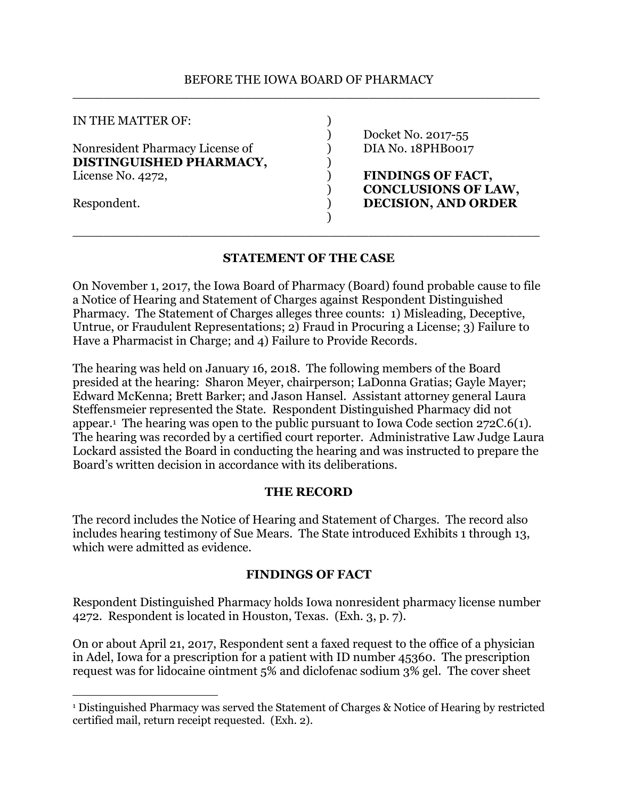#### BEFORE THE IOWA BOARD OF PHARMACY \_\_\_\_\_\_\_\_\_\_\_\_\_\_\_\_\_\_\_\_\_\_\_\_\_\_\_\_\_\_\_\_\_\_\_\_\_\_\_\_\_\_\_\_\_\_\_\_\_\_\_\_\_\_\_\_\_\_\_\_

| IN THE MATTER OF:               |                            |
|---------------------------------|----------------------------|
|                                 | Docket No. 2017-55         |
| Nonresident Pharmacy License of | DIA No. 18PHB0017          |
| DISTINGUISHED PHARMACY,         |                            |
| License No. 4272,               | <b>FINDINGS OF FACT,</b>   |
|                                 | <b>CONCLUSIONS OF LAW,</b> |
| Respondent.                     | <b>DECISION, AND ORDER</b> |
|                                 |                            |

### **STATEMENT OF THE CASE**

\_\_\_\_\_\_\_\_\_\_\_\_\_\_\_\_\_\_\_\_\_\_\_\_\_\_\_\_\_\_\_\_\_\_\_\_\_\_\_\_\_\_\_\_\_\_\_\_\_\_\_\_\_\_\_\_\_\_\_\_

On November 1, 2017, the Iowa Board of Pharmacy (Board) found probable cause to file a Notice of Hearing and Statement of Charges against Respondent Distinguished Pharmacy. The Statement of Charges alleges three counts: 1) Misleading, Deceptive, Untrue, or Fraudulent Representations; 2) Fraud in Procuring a License; 3) Failure to Have a Pharmacist in Charge; and 4) Failure to Provide Records.

The hearing was held on January 16, 2018. The following members of the Board presided at the hearing: Sharon Meyer, chairperson; LaDonna Gratias; Gayle Mayer; Edward McKenna; Brett Barker; and Jason Hansel. Assistant attorney general Laura Steffensmeier represented the State. Respondent Distinguished Pharmacy did not appear.<sup>1</sup> The hearing was open to the public pursuant to Iowa Code section 272C.6(1). The hearing was recorded by a certified court reporter. Administrative Law Judge Laura Lockard assisted the Board in conducting the hearing and was instructed to prepare the Board's written decision in accordance with its deliberations.

### **THE RECORD**

The record includes the Notice of Hearing and Statement of Charges. The record also includes hearing testimony of Sue Mears. The State introduced Exhibits 1 through 13, which were admitted as evidence.

### **FINDINGS OF FACT**

Respondent Distinguished Pharmacy holds Iowa nonresident pharmacy license number 4272. Respondent is located in Houston, Texas. (Exh. 3, p. 7).

On or about April 21, 2017, Respondent sent a faxed request to the office of a physician in Adel, Iowa for a prescription for a patient with ID number 45360. The prescription request was for lidocaine ointment 5% and diclofenac sodium 3% gel. The cover sheet

 $\overline{a}$ 

<sup>1</sup> Distinguished Pharmacy was served the Statement of Charges & Notice of Hearing by restricted certified mail, return receipt requested. (Exh. 2).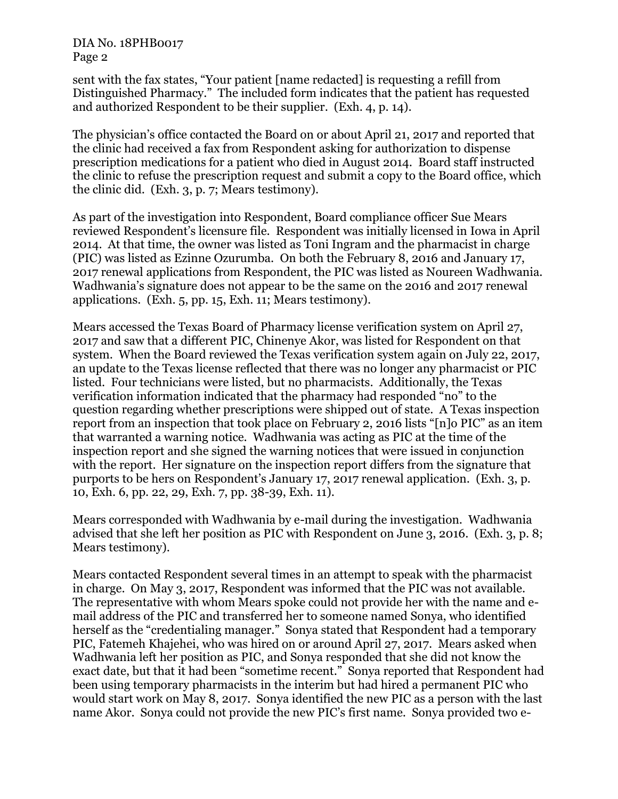sent with the fax states, "Your patient [name redacted] is requesting a refill from Distinguished Pharmacy." The included form indicates that the patient has requested and authorized Respondent to be their supplier. (Exh. 4, p. 14).

The physician's office contacted the Board on or about April 21, 2017 and reported that the clinic had received a fax from Respondent asking for authorization to dispense prescription medications for a patient who died in August 2014. Board staff instructed the clinic to refuse the prescription request and submit a copy to the Board office, which the clinic did. (Exh. 3, p. 7; Mears testimony).

As part of the investigation into Respondent, Board compliance officer Sue Mears reviewed Respondent's licensure file. Respondent was initially licensed in Iowa in April 2014. At that time, the owner was listed as Toni Ingram and the pharmacist in charge (PIC) was listed as Ezinne Ozurumba. On both the February 8, 2016 and January 17, 2017 renewal applications from Respondent, the PIC was listed as Noureen Wadhwania. Wadhwania's signature does not appear to be the same on the 2016 and 2017 renewal applications. (Exh. 5, pp. 15, Exh. 11; Mears testimony).

Mears accessed the Texas Board of Pharmacy license verification system on April 27, 2017 and saw that a different PIC, Chinenye Akor, was listed for Respondent on that system. When the Board reviewed the Texas verification system again on July 22, 2017, an update to the Texas license reflected that there was no longer any pharmacist or PIC listed. Four technicians were listed, but no pharmacists. Additionally, the Texas verification information indicated that the pharmacy had responded "no" to the question regarding whether prescriptions were shipped out of state. A Texas inspection report from an inspection that took place on February 2, 2016 lists "[n]o PIC" as an item that warranted a warning notice. Wadhwania was acting as PIC at the time of the inspection report and she signed the warning notices that were issued in conjunction with the report. Her signature on the inspection report differs from the signature that purports to be hers on Respondent's January 17, 2017 renewal application. (Exh. 3, p. 10, Exh. 6, pp. 22, 29, Exh. 7, pp. 38-39, Exh. 11).

Mears corresponded with Wadhwania by e-mail during the investigation. Wadhwania advised that she left her position as PIC with Respondent on June 3, 2016. (Exh. 3, p. 8; Mears testimony).

Mears contacted Respondent several times in an attempt to speak with the pharmacist in charge. On May 3, 2017, Respondent was informed that the PIC was not available. The representative with whom Mears spoke could not provide her with the name and email address of the PIC and transferred her to someone named Sonya, who identified herself as the "credentialing manager." Sonya stated that Respondent had a temporary PIC, Fatemeh Khajehei, who was hired on or around April 27, 2017. Mears asked when Wadhwania left her position as PIC, and Sonya responded that she did not know the exact date, but that it had been "sometime recent." Sonya reported that Respondent had been using temporary pharmacists in the interim but had hired a permanent PIC who would start work on May 8, 2017. Sonya identified the new PIC as a person with the last name Akor. Sonya could not provide the new PIC's first name. Sonya provided two e-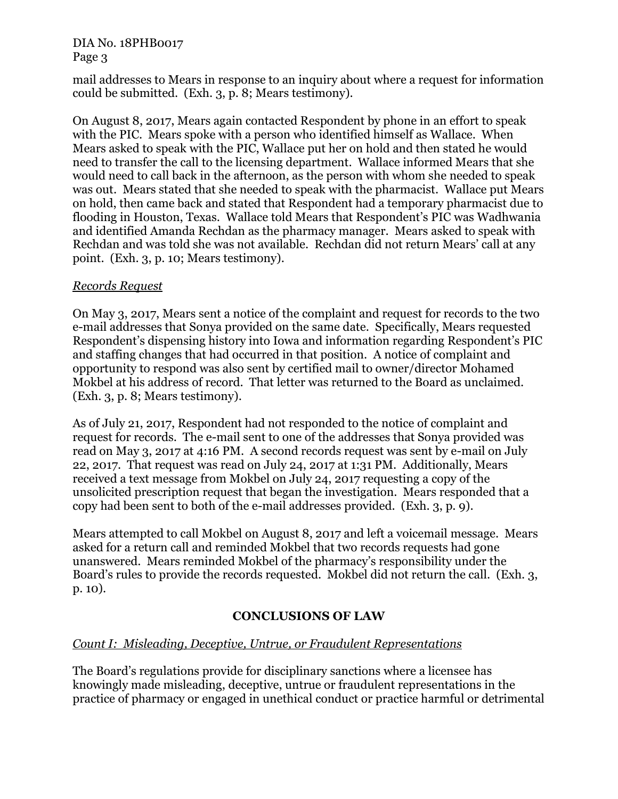mail addresses to Mears in response to an inquiry about where a request for information could be submitted. (Exh. 3, p. 8; Mears testimony).

On August 8, 2017, Mears again contacted Respondent by phone in an effort to speak with the PIC. Mears spoke with a person who identified himself as Wallace. When Mears asked to speak with the PIC, Wallace put her on hold and then stated he would need to transfer the call to the licensing department. Wallace informed Mears that she would need to call back in the afternoon, as the person with whom she needed to speak was out. Mears stated that she needed to speak with the pharmacist. Wallace put Mears on hold, then came back and stated that Respondent had a temporary pharmacist due to flooding in Houston, Texas. Wallace told Mears that Respondent's PIC was Wadhwania and identified Amanda Rechdan as the pharmacy manager. Mears asked to speak with Rechdan and was told she was not available. Rechdan did not return Mears' call at any point. (Exh. 3, p. 10; Mears testimony).

### *Records Request*

On May 3, 2017, Mears sent a notice of the complaint and request for records to the two e-mail addresses that Sonya provided on the same date. Specifically, Mears requested Respondent's dispensing history into Iowa and information regarding Respondent's PIC and staffing changes that had occurred in that position. A notice of complaint and opportunity to respond was also sent by certified mail to owner/director Mohamed Mokbel at his address of record. That letter was returned to the Board as unclaimed. (Exh. 3, p. 8; Mears testimony).

As of July 21, 2017, Respondent had not responded to the notice of complaint and request for records. The e-mail sent to one of the addresses that Sonya provided was read on May 3, 2017 at 4:16 PM. A second records request was sent by e-mail on July 22, 2017. That request was read on July 24, 2017 at 1:31 PM. Additionally, Mears received a text message from Mokbel on July 24, 2017 requesting a copy of the unsolicited prescription request that began the investigation. Mears responded that a copy had been sent to both of the e-mail addresses provided. (Exh. 3, p. 9).

Mears attempted to call Mokbel on August 8, 2017 and left a voicemail message. Mears asked for a return call and reminded Mokbel that two records requests had gone unanswered. Mears reminded Mokbel of the pharmacy's responsibility under the Board's rules to provide the records requested. Mokbel did not return the call. (Exh. 3, p. 10).

# **CONCLUSIONS OF LAW**

# *Count I: Misleading, Deceptive, Untrue, or Fraudulent Representations*

The Board's regulations provide for disciplinary sanctions where a licensee has knowingly made misleading, deceptive, untrue or fraudulent representations in the practice of pharmacy or engaged in unethical conduct or practice harmful or detrimental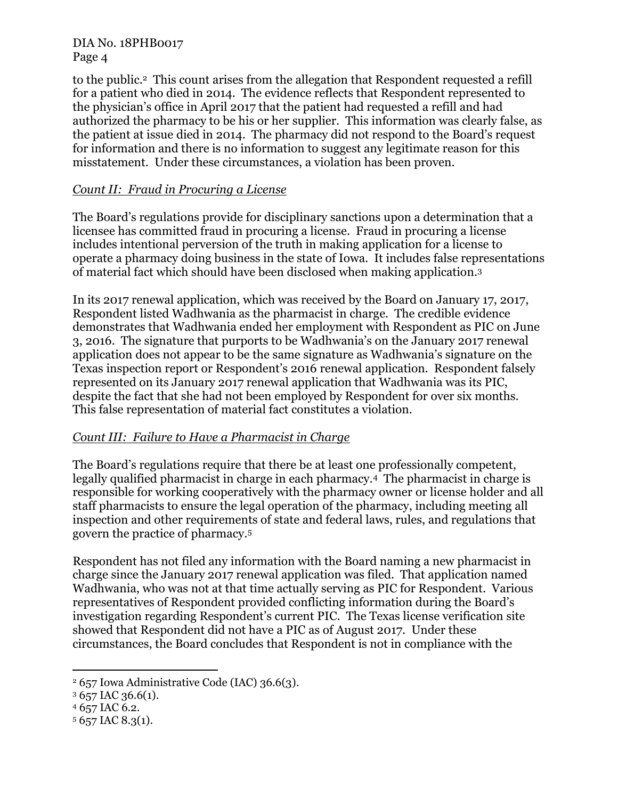to the public.2 This count arises from the allegation that Respondent requested a refill for a patient who died in 2014. The evidence reflects that Respondent represented to the physician's office in April 2017 that the patient had requested a refill and had authorized the pharmacy to be his or her supplier. This information was clearly false, as the patient at issue died in 2014. The pharmacy did not respond to the Board's request for information and there is no information to suggest any legitimate reason for this misstatement. Under these circumstances, a violation has been proven.

## *Count II: Fraud in Procuring a License*

The Board's regulations provide for disciplinary sanctions upon a determination that a licensee has committed fraud in procuring a license. Fraud in procuring a license includes intentional perversion of the truth in making application for a license to operate a pharmacy doing business in the state of Iowa. It includes false representations of material fact which should have been disclosed when making application.<sup>3</sup>

In its 2017 renewal application, which was received by the Board on January 17, 2017, Respondent listed Wadhwania as the pharmacist in charge. The credible evidence demonstrates that Wadhwania ended her employment with Respondent as PIC on June 3, 2016. The signature that purports to be Wadhwania's on the January 2017 renewal application does not appear to be the same signature as Wadhwania's signature on the Texas inspection report or Respondent's 2016 renewal application. Respondent falsely represented on its January 2017 renewal application that Wadhwania was its PIC, despite the fact that she had not been employed by Respondent for over six months. This false representation of material fact constitutes a violation.

# *Count III: Failure to Have a Pharmacist in Charge*

The Board's regulations require that there be at least one professionally competent, legally qualified pharmacist in charge in each pharmacy.4 The pharmacist in charge is responsible for working cooperatively with the pharmacy owner or license holder and all staff pharmacists to ensure the legal operation of the pharmacy, including meeting all inspection and other requirements of state and federal laws, rules, and regulations that govern the practice of pharmacy.<sup>5</sup>

Respondent has not filed any information with the Board naming a new pharmacist in charge since the January 2017 renewal application was filed. That application named Wadhwania, who was not at that time actually serving as PIC for Respondent. Various representatives of Respondent provided conflicting information during the Board's investigation regarding Respondent's current PIC. The Texas license verification site showed that Respondent did not have a PIC as of August 2017. Under these circumstances, the Board concludes that Respondent is not in compliance with the

<sup>4</sup> 657 IAC 6.2.

 $\overline{a}$ 

<sup>2</sup> 657 Iowa Administrative Code (IAC) 36.6(3).

 $3657$  IAC 36.6(1).

<sup>5</sup> 657 IAC 8.3(1).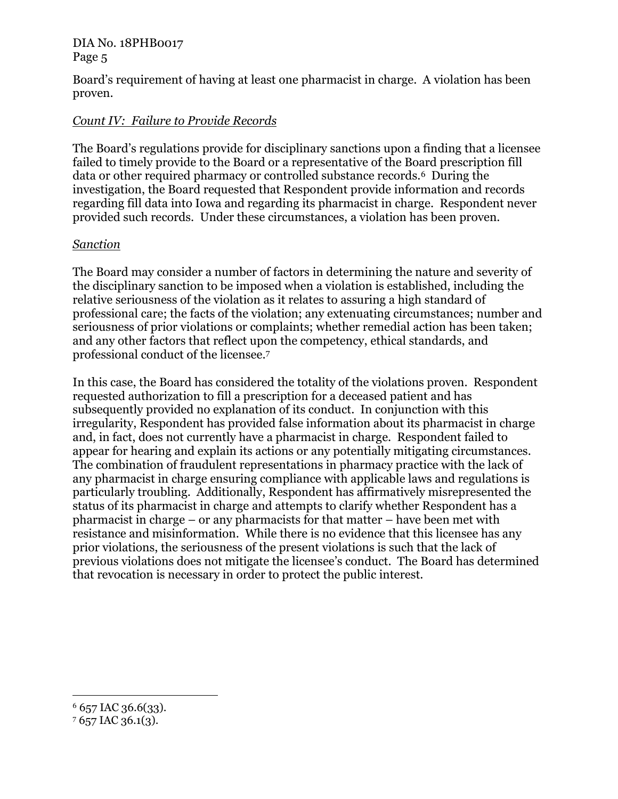Board's requirement of having at least one pharmacist in charge. A violation has been proven.

# *Count IV: Failure to Provide Records*

The Board's regulations provide for disciplinary sanctions upon a finding that a licensee failed to timely provide to the Board or a representative of the Board prescription fill data or other required pharmacy or controlled substance records.6 During the investigation, the Board requested that Respondent provide information and records regarding fill data into Iowa and regarding its pharmacist in charge. Respondent never provided such records. Under these circumstances, a violation has been proven.

### *Sanction*

The Board may consider a number of factors in determining the nature and severity of the disciplinary sanction to be imposed when a violation is established, including the relative seriousness of the violation as it relates to assuring a high standard of professional care; the facts of the violation; any extenuating circumstances; number and seriousness of prior violations or complaints; whether remedial action has been taken; and any other factors that reflect upon the competency, ethical standards, and professional conduct of the licensee.<sup>7</sup>

In this case, the Board has considered the totality of the violations proven. Respondent requested authorization to fill a prescription for a deceased patient and has subsequently provided no explanation of its conduct. In conjunction with this irregularity, Respondent has provided false information about its pharmacist in charge and, in fact, does not currently have a pharmacist in charge. Respondent failed to appear for hearing and explain its actions or any potentially mitigating circumstances. The combination of fraudulent representations in pharmacy practice with the lack of any pharmacist in charge ensuring compliance with applicable laws and regulations is particularly troubling. Additionally, Respondent has affirmatively misrepresented the status of its pharmacist in charge and attempts to clarify whether Respondent has a pharmacist in charge – or any pharmacists for that matter – have been met with resistance and misinformation. While there is no evidence that this licensee has any prior violations, the seriousness of the present violations is such that the lack of previous violations does not mitigate the licensee's conduct. The Board has determined that revocation is necessary in order to protect the public interest.

 $\overline{a}$ 

 $6$  657 IAC 36.6(33).

<sup>7</sup> 657 IAC 36.1(3).